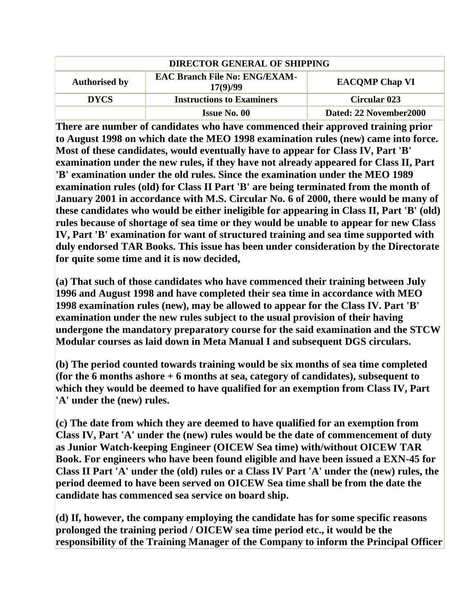| <b>DIRECTOR GENERAL OF SHIPPING</b> |                                                  |                         |
|-------------------------------------|--------------------------------------------------|-------------------------|
| <b>Authorised by</b>                | <b>EAC Branch File No: ENG/EXAM-</b><br>17(9)/99 | <b>EACOMP Chap VI</b>   |
| <b>DYCS</b>                         | <b>Instructions to Examiners</b>                 | <b>Circular 023</b>     |
|                                     | <b>Issue No. 00</b>                              | Dated: 22 November 2000 |

**There are number of candidates who have commenced their approved training prior to August 1998 on which date the MEO 1998 examination rules (new) came into force. Most of these candidates, would eventually have to appear for Class IV, Part 'B' examination under the new rules, if they have not already appeared for Class II, Part 'B' examination under the old rules. Since the examination under the MEO 1989 examination rules (old) for Class II Part 'B' are being terminated from the month of January 2001 in accordance with M.S. Circular No. 6 of 2000, there would be many of these candidates who would be either ineligible for appearing in Class II, Part 'B' (old) rules because of shortage of sea time or they would be unable to appear for new Class IV, Part 'B' examination for want of structured training and sea time supported with duly endorsed TAR Books. This issue has been under consideration by the Directorate for quite some time and it is now decided,** 

**(a) That such of those candidates who have commenced their training between July 1996 and August 1998 and have completed their sea time in accordance with MEO 1998 examination rules (new), may be allowed to appear for the Class IV. Part 'B' examination under the new rules subject to the usual provision of their having undergone the mandatory preparatory course for the said examination and the STCW Modular courses as laid down in Meta Manual I and subsequent DGS circulars.** 

**(b) The period counted towards training would be six months of sea time completed (for the 6 months ashore + 6 months at sea, category of candidates), subsequent to which they would be deemed to have qualified for an exemption from Class IV, Part 'A' under the (new) rules.** 

**(c) The date from which they are deemed to have qualified for an exemption from Class IV, Part 'A' under the (new) rules would be the date of commencement of duty as Junior Watch-keeping Engineer (OICEW Sea time) with/without OICEW TAR Book. For engineers who have been found eligible and have been issued a EXN-45 for Class II Part 'A' under the (old) rules or a Class IV Part 'A' under the (new) rules, the period deemed to have been served on OICEW Sea time shall be from the date the candidate has commenced sea service on board ship.** 

**(d) If, however, the company employing the candidate has for some specific reasons prolonged the training period / OICEW sea time period etc., it would be the responsibility of the Training Manager of the Company to inform the Principal Officer**